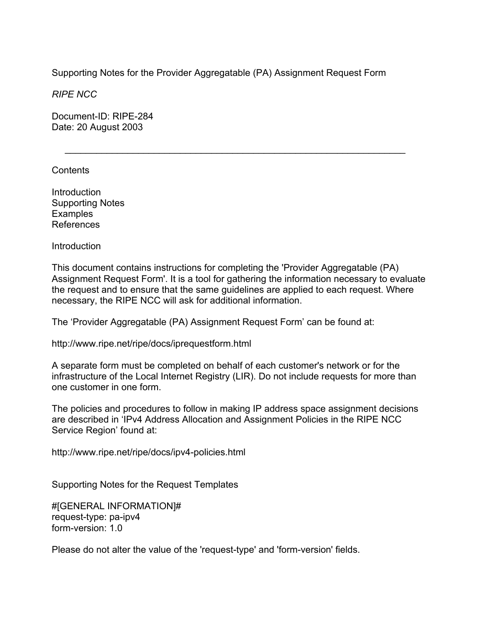Supporting Notes for the Provider Aggregatable (PA) Assignment Request Form

 $\mathcal{L}=\underbrace{\mathcal{L}=\mathcal{L}=\mathcal{L}=\mathcal{L}=\mathcal{L}=\mathcal{L}=\mathcal{L}=\mathcal{L}=\mathcal{L}=\mathcal{L}=\mathcal{L}=\mathcal{L}=\mathcal{L}=\mathcal{L}=\mathcal{L}=\mathcal{L}=\mathcal{L}=\mathcal{L}=\mathcal{L}=\mathcal{L}=\mathcal{L}=\mathcal{L}=\mathcal{L}=\mathcal{L}=\mathcal{L}=\mathcal{L}=\mathcal{L}=\mathcal{L}=\mathcal{L}=\mathcal{L}=\mathcal{L}=\mathcal{L}=\mathcal{L}=\mathcal{L}=\mathcal{L}=\$ 

*RIPE NCC* 

Document-ID: RIPE-284 Date: 20 August 2003

Contents

**Introduction** Supporting Notes **Examples** References

Introduction

This document contains instructions for completing the 'Provider Aggregatable (PA) Assignment Request Form'. It is a tool for gathering the information necessary to evaluate the request and to ensure that the same guidelines are applied to each request. Where necessary, the RIPE NCC will ask for additional information.

The 'Provider Aggregatable (PA) Assignment Request Form' can be found at:

http://www.ripe.net/ripe/docs/iprequestform.html

A separate form must be completed on behalf of each customer's network or for the infrastructure of the Local Internet Registry (LIR). Do not include requests for more than one customer in one form.

The policies and procedures to follow in making IP address space assignment decisions are described in 'IPv4 Address Allocation and Assignment Policies in the RIPE NCC Service Region' found at:

http://www.ripe.net/ripe/docs/ipv4-policies.html

Supporting Notes for the Request Templates

#[GENERAL INFORMATION]# request-type: pa-ipv4 form-version: 1.0

Please do not alter the value of the 'request-type' and 'form-version' fields.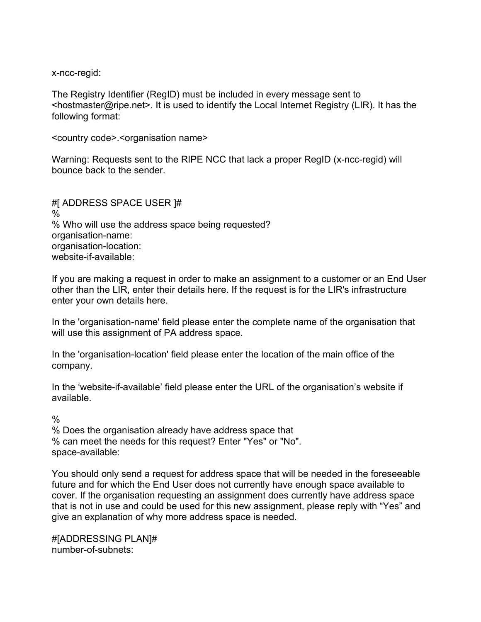x-ncc-regid:

The Registry Identifier (RegID) must be included in every message sent to <hostmaster@ripe.net>. It is used to identify the Local Internet Registry (LIR). It has the following format:

<country code>.<organisation name>

Warning: Requests sent to the RIPE NCC that lack a proper RegID (x-ncc-regid) will bounce back to the sender.

#[ ADDRESS SPACE USER ]#  $\%$ % Who will use the address space being requested? organisation-name: organisation-location: website-if-available:

If you are making a request in order to make an assignment to a customer or an End User other than the LIR, enter their details here. If the request is for the LIR's infrastructure enter your own details here.

In the 'organisation-name' field please enter the complete name of the organisation that will use this assignment of PA address space.

In the 'organisation-location' field please enter the location of the main office of the company.

In the 'website-if-available' field please enter the URL of the organisation's website if available.

 $\frac{0}{0}$ 

% Does the organisation already have address space that % can meet the needs for this request? Enter "Yes" or "No". space-available:

You should only send a request for address space that will be needed in the foreseeable future and for which the End User does not currently have enough space available to cover. If the organisation requesting an assignment does currently have address space that is not in use and could be used for this new assignment, please reply with "Yes" and give an explanation of why more address space is needed.

#[ADDRESSING PLAN]# number-of-subnets: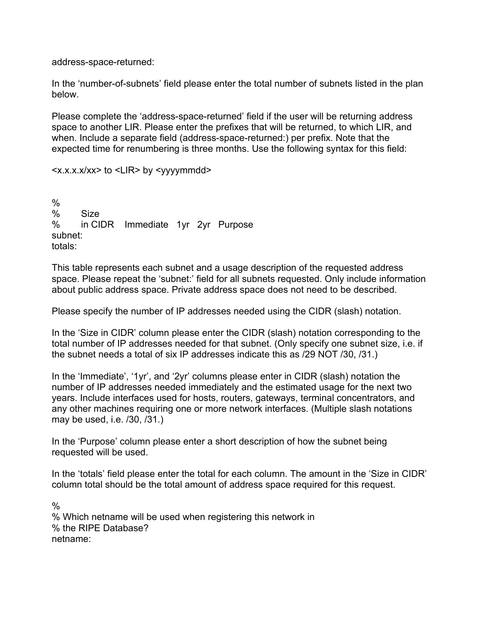address-space-returned:

In the 'number-of-subnets' field please enter the total number of subnets listed in the plan below.

Please complete the 'address-space-returned' field if the user will be returning address space to another LIR. Please enter the prefixes that will be returned, to which LIR, and when. Include a separate field (address-space-returned:) per prefix. Note that the expected time for renumbering is three months. Use the following syntax for this field:

<x.x.x.x/xx> to <LIR> by <yyyymmdd>

% % Size % in CIDR Immediate 1yr 2yr Purpose subnet: totals:

This table represents each subnet and a usage description of the requested address space. Please repeat the 'subnet:' field for all subnets requested. Only include information about public address space. Private address space does not need to be described.

Please specify the number of IP addresses needed using the CIDR (slash) notation.

In the 'Size in CIDR' column please enter the CIDR (slash) notation corresponding to the total number of IP addresses needed for that subnet. (Only specify one subnet size, i.e. if the subnet needs a total of six IP addresses indicate this as /29 NOT /30, /31.)

In the 'Immediate', '1yr', and '2yr' columns please enter in CIDR (slash) notation the number of IP addresses needed immediately and the estimated usage for the next two years. Include interfaces used for hosts, routers, gateways, terminal concentrators, and any other machines requiring one or more network interfaces. (Multiple slash notations may be used, i.e. /30, /31.)

In the 'Purpose' column please enter a short description of how the subnet being requested will be used.

In the 'totals' field please enter the total for each column. The amount in the 'Size in CIDR' column total should be the total amount of address space required for this request.

 $\frac{0}{0}$ % Which netname will be used when registering this network in % the RIPE Database? netname: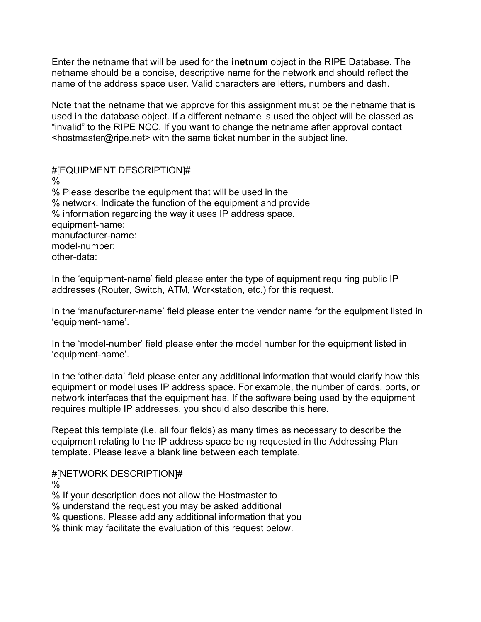Enter the netname that will be used for the **inetnum** object in the RIPE Database. The netname should be a concise, descriptive name for the network and should reflect the name of the address space user. Valid characters are letters, numbers and dash.

Note that the netname that we approve for this assignment must be the netname that is used in the database object. If a different netname is used the object will be classed as "invalid" to the RIPE NCC. If you want to change the netname after approval contact <hostmaster@ripe.net> with the same ticket number in the subject line.

#[EQUIPMENT DESCRIPTION]# % % Please describe the equipment that will be used in the % network. Indicate the function of the equipment and provide % information regarding the way it uses IP address space. equipment-name: manufacturer-name: model-number: other-data:

In the 'equipment-name' field please enter the type of equipment requiring public IP addresses (Router, Switch, ATM, Workstation, etc.) for this request.

In the 'manufacturer-name' field please enter the vendor name for the equipment listed in 'equipment-name'.

In the 'model-number' field please enter the model number for the equipment listed in 'equipment-name'.

In the 'other-data' field please enter any additional information that would clarify how this equipment or model uses IP address space. For example, the number of cards, ports, or network interfaces that the equipment has. If the software being used by the equipment requires multiple IP addresses, you should also describe this here.

Repeat this template (i.e. all four fields) as many times as necessary to describe the equipment relating to the IP address space being requested in the Addressing Plan template. Please leave a blank line between each template.

## #[NETWORK DESCRIPTION]#

 $\%$ 

% If your description does not allow the Hostmaster to

% understand the request you may be asked additional

% questions. Please add any additional information that you

% think may facilitate the evaluation of this request below.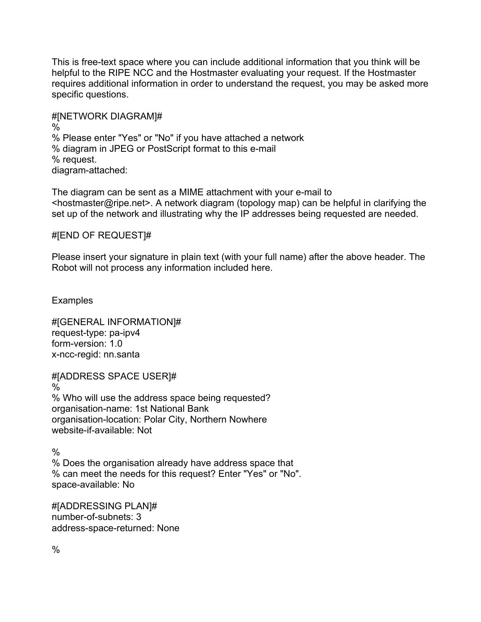This is free-text space where you can include additional information that you think will be helpful to the RIPE NCC and the Hostmaster evaluating your request. If the Hostmaster requires additional information in order to understand the request, you may be asked more specific questions.

#[NETWORK DIAGRAM]# % % Please enter "Yes" or "No" if you have attached a network % diagram in JPEG or PostScript format to this e-mail % request. diagram-attached:

The diagram can be sent as a MIME attachment with your e-mail to <hostmaster@ripe.net>. A network diagram (topology map) can be helpful in clarifying the set up of the network and illustrating why the IP addresses being requested are needed.

### #[END OF REQUEST]#

Please insert your signature in plain text (with your full name) after the above header. The Robot will not process any information included here.

**Examples** 

#[GENERAL INFORMATION]# request-type: pa-ipv4 form-version: 1.0 x-ncc-regid: nn.santa

#[ADDRESS SPACE USER]# % % Who will use the address space being requested? organisation-name: 1st National Bank organisation-location: Polar City, Northern Nowhere website-if-available: Not

 $\frac{0}{0}$ % Does the organisation already have address space that % can meet the needs for this request? Enter "Yes" or "No". space-available: No

#[ADDRESSING PLAN]# number-of-subnets: 3 address-space-returned: None

 $\frac{0}{0}$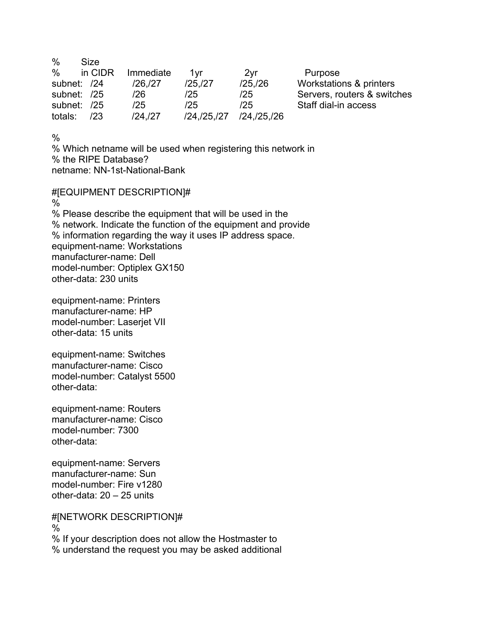| $\frac{0}{0}$ | Size    |           |                       |               |                             |
|---------------|---------|-----------|-----------------------|---------------|-----------------------------|
| $\%$          | in CIDR | Immediate | 1vr                   | 2yr           | Purpose                     |
| subnet: /24   |         | /26./27   | /25/27                | /25/26        | Workstations & printers     |
| subnet: /25   |         | /26       | /25                   | /25           | Servers, routers & switches |
| subnet: /25   |         | /25       | 125                   | /25           | Staff dial-in access        |
| totals:       | 123     | /24,/27   | $/24$ , $/25$ , $/27$ | /24, /25, /26 |                             |

%

% Which netname will be used when registering this network in % the RIPE Database? netname: NN-1st-National-Bank

#[EQUIPMENT DESCRIPTION]# % % Please describe the equipment that will be used in the % network. Indicate the function of the equipment and provide % information regarding the way it uses IP address space. equipment-name: Workstations manufacturer-name: Dell model-number: Optiplex GX150 other-data: 230 units

equipment-name: Printers manufacturer-name: HP model-number: Laserjet VII other-data: 15 units

equipment-name: Switches manufacturer-name: Cisco model-number: Catalyst 5500 other-data:

equipment-name: Routers manufacturer-name: Cisco model-number: 7300 other-data:

equipment-name: Servers manufacturer-name: Sun model-number: Fire v1280 other-data: 20 – 25 units

#[NETWORK DESCRIPTION]# % % If your description does not allow the Hostmaster to % understand the request you may be asked additional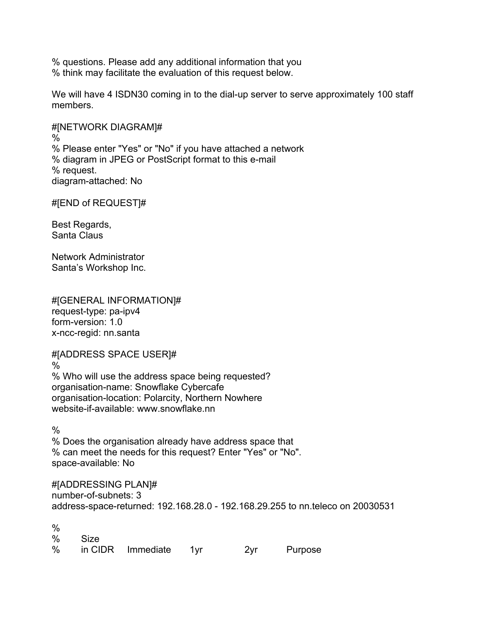% questions. Please add any additional information that you % think may facilitate the evaluation of this request below.

We will have 4 ISDN30 coming in to the dial-up server to serve approximately 100 staff members.

#[NETWORK DIAGRAM]# % % Please enter "Yes" or "No" if you have attached a network % diagram in JPEG or PostScript format to this e-mail % request. diagram-attached: No

#[END of REQUEST]#

Best Regards, Santa Claus

Network Administrator Santa's Workshop Inc.

#[GENERAL INFORMATION]# request-type: pa-ipv4 form-version: 1.0 x-ncc-regid: nn.santa

#[ADDRESS SPACE USER]#

% % Who will use the address space being requested? organisation-name: Snowflake Cybercafe organisation-location: Polarcity, Northern Nowhere website-if-available: www.snowflake.nn

 $\frac{0}{0}$ 

% Does the organisation already have address space that % can meet the needs for this request? Enter "Yes" or "No". space-available: No

#[ADDRESSING PLAN]# number-of-subnets: 3 address-space-returned: 192.168.28.0 - 192.168.29.255 to nn.teleco on 20030531

%

| % Size |                         |     |         |
|--------|-------------------------|-----|---------|
|        | % in CIDR Immediate 1yr | 2vr | Purpose |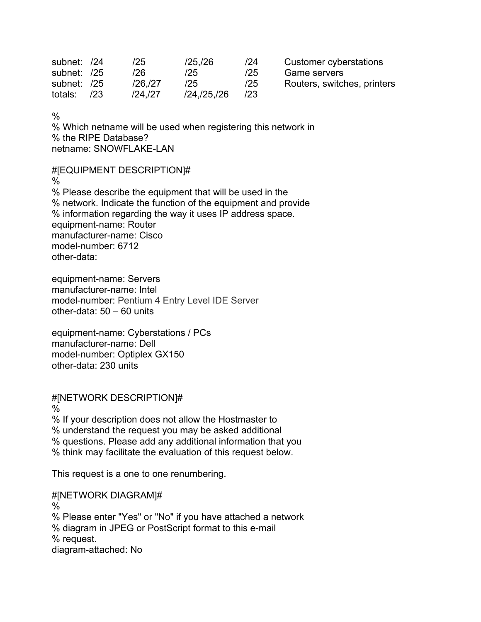| subnet: /24 |     | /25     | /25/26        | 124 | Customer cyberstations      |
|-------------|-----|---------|---------------|-----|-----------------------------|
| subnet: /25 |     | /26     | /25           | /25 | Game servers                |
| subnet: /25 |     | /26./27 | /25           | /25 | Routers, switches, printers |
| totals:     | /23 | /24./27 | /24, /25, /26 | 123 |                             |

 $\frac{0}{0}$ 

% Which netname will be used when registering this network in % the RIPE Database? netname: SNOWFLAKE-LAN

#[EQUIPMENT DESCRIPTION]#

%

% Please describe the equipment that will be used in the % network. Indicate the function of the equipment and provide % information regarding the way it uses IP address space. equipment-name: Router manufacturer-name: Cisco model-number: 6712 other-data:

equipment-name: Servers manufacturer-name: Intel model-number: Pentium 4 Entry Level IDE Server other-data: 50 – 60 units

equipment-name: Cyberstations / PCs manufacturer-name: Dell model-number: Optiplex GX150 other-data: 230 units

#[NETWORK DESCRIPTION]#

%

% If your description does not allow the Hostmaster to % understand the request you may be asked additional % questions. Please add any additional information that you % think may facilitate the evaluation of this request below.

This request is a one to one renumbering.

#[NETWORK DIAGRAM]# % % Please enter "Yes" or "No" if you have attached a network % diagram in JPEG or PostScript format to this e-mail % request. diagram-attached: No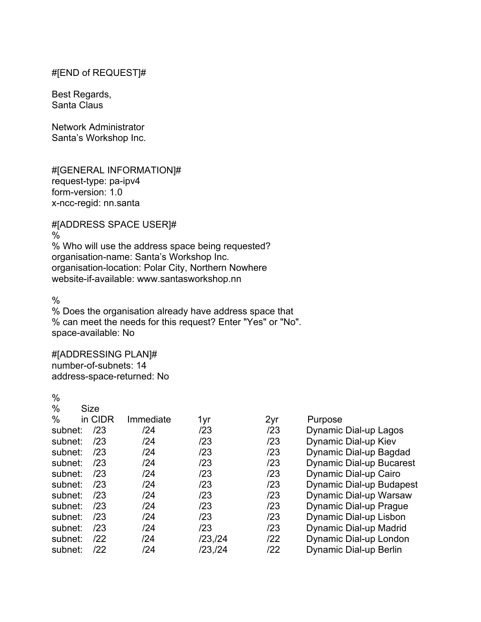## #[END of REQUEST]#

Best Regards, Santa Claus

Network Administrator Santa's Workshop Inc.

#[GENERAL INFORMATION]# request-type: pa-ipv4 form-version: 1.0 x-ncc-regid: nn.santa

#[ADDRESS SPACE USER]#

%

% Who will use the address space being requested? organisation-name: Santa's Workshop Inc. organisation-location: Polar City, Northern Nowhere website-if-available: www.santasworkshop.nn

 $\frac{0}{0}$ 

 $0/2$ 

% Does the organisation already have address space that % can meet the needs for this request? Enter "Yes" or "No". space-available: No

# #[ADDRESSING PLAN]#

number-of-subnets: 14 address-space-returned: No

| , v     |             |           |         |     |                                 |
|---------|-------------|-----------|---------|-----|---------------------------------|
| $\%$    | <b>Size</b> |           |         |     |                                 |
| $\%$    | in CIDR     | Immediate | 1yr     | 2yr | Purpose                         |
| subnet: | /23         | /24       | /23     | /23 | Dynamic Dial-up Lagos           |
| subnet: | /23         | /24       | /23     | /23 | Dynamic Dial-up Kiev            |
| subnet: | /23         | /24       | /23     | /23 | Dynamic Dial-up Bagdad          |
| subnet: | /23         | 124       | /23     | /23 | <b>Dynamic Dial-up Bucarest</b> |
| subnet: | /23         | /24       | /23     | /23 | Dynamic Dial-up Cairo           |
| subnet: | /23         | /24       | /23     | /23 | <b>Dynamic Dial-up Budapest</b> |
| subnet: | /23         | /24       | /23     | /23 | Dynamic Dial-up Warsaw          |
| subnet: | /23         | /24       | /23     | /23 | Dynamic Dial-up Prague          |
| subnet: | /23         | /24       | /23     | /23 | Dynamic Dial-up Lisbon          |
| subnet: | /23         | /24       | /23     | /23 | Dynamic Dial-up Madrid          |
| subnet: | 122         | /24       | /23,/24 | 122 | Dynamic Dial-up London          |
| subnet: | /22         | /24       | /23,/24 | 122 | Dynamic Dial-up Berlin          |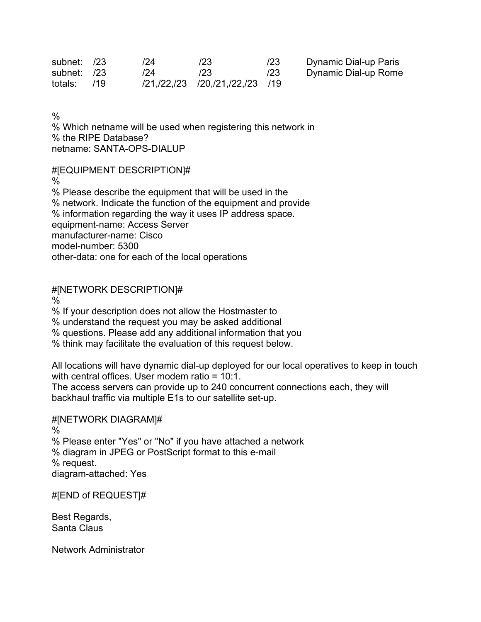| subnet: /23   | 124 | /23                                  | /23 | Dynamic Dial-up Paris |
|---------------|-----|--------------------------------------|-----|-----------------------|
| subnet: /23   | /24 | /23                                  | /23 | Dynamic Dial-up Rome  |
| totals: $/19$ |     | /21, /22, /23 /20, /21, /22, /23 /19 |     |                       |

 $\frac{0}{0}$ 

% Which netname will be used when registering this network in % the RIPE Database? netname: SANTA-OPS-DIALUP

#[EQUIPMENT DESCRIPTION]#

%

% Please describe the equipment that will be used in the % network. Indicate the function of the equipment and provide % information regarding the way it uses IP address space. equipment-name: Access Server manufacturer-name: Cisco model-number: 5300 other-data: one for each of the local operations

#[NETWORK DESCRIPTION]#

%

% If your description does not allow the Hostmaster to

% understand the request you may be asked additional

% questions. Please add any additional information that you

% think may facilitate the evaluation of this request below.

All locations will have dynamic dial-up deployed for our local operatives to keep in touch with central offices. User modem ratio = 10:1. The access servers can provide up to 240 concurrent connections each, they will backhaul traffic via multiple E1s to our satellite set-up.

#[NETWORK DIAGRAM]#

%

% Please enter "Yes" or "No" if you have attached a network

% diagram in JPEG or PostScript format to this e-mail % request.

diagram-attached: Yes

#[END of REQUEST]#

Best Regards, Santa Claus

Network Administrator